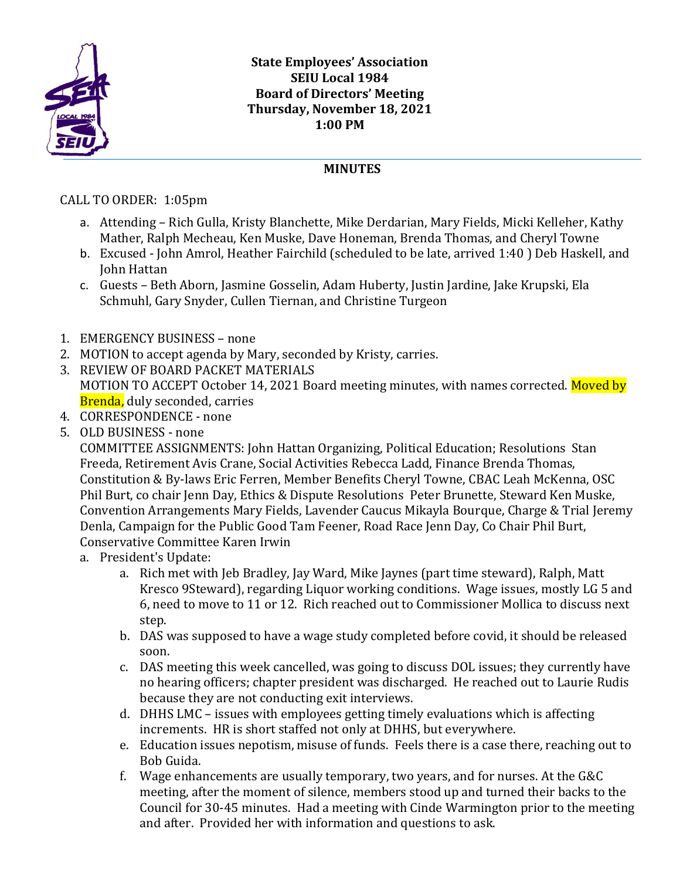

## **MINUTES**

CALL TO ORDER: 1:05pm

- a. Attending Rich Gulla, Kristy Blanchette, Mike Derdarian, Mary Fields, Micki Kelleher, Kathy Mather, Ralph Mecheau, Ken Muske, Dave Honeman, Brenda Thomas, and Cheryl Towne
- b. Excused John Amrol, Heather Fairchild (scheduled to be late, arrived 1:40 ) Deb Haskell, and John Hattan
- c. Guests Beth Aborn, Jasmine Gosselin, Adam Huberty, Justin Jardine, Jake Krupski, Ela Schmuhl, Gary Snyder, Cullen Tiernan, and Christine Turgeon
- 1. EMERGENCY BUSINESS none
- 2. MOTION to accept agenda by Mary, seconded by Kristy, carries.
- 3. REVIEW OF BOARD PACKET MATERIALS MOTION TO ACCEPT October 14, 2021 Board meeting minutes, with names corrected. Moved by Brenda, duly seconded, carries
- 4. CORRESPONDENCE none
- 5. OLD BUSINESS none

COMMITTEE ASSIGNMENTS: John Hattan Organizing, Political Education; Resolutions Stan Freeda, Retirement Avis Crane, Social Activities Rebecca Ladd, Finance Brenda Thomas, Constitution & By-laws Eric Ferren, Member Benefits Cheryl Towne, CBAC Leah McKenna, OSC Phil Burt, co chair Jenn Day, Ethics & Dispute Resolutions Peter Brunette, Steward Ken Muske, Convention Arrangements Mary Fields, Lavender Caucus Mikayla Bourque, Charge & Trial Jeremy Denla, Campaign for the Public Good Tam Feener, Road Race Jenn Day, Co Chair Phil Burt, Conservative Committee Karen Irwin

- a. President's Update:
	- a. Rich met with Jeb Bradley, Jay Ward, Mike Jaynes (part time steward), Ralph, Matt Kresco 9Steward), regarding Liquor working conditions. Wage issues, mostly LG 5 and 6, need to move to 11 or 12. Rich reached out to Commissioner Mollica to discuss next step.
	- b. DAS was supposed to have a wage study completed before covid, it should be released soon.
	- c. DAS meeting this week cancelled, was going to discuss DOL issues; they currently have no hearing officers; chapter president was discharged. He reached out to Laurie Rudis because they are not conducting exit interviews.
	- d. DHHS LMC issues with employees getting timely evaluations which is affecting increments. HR is short staffed not only at DHHS, but everywhere.
	- e. Education issues nepotism, misuse of funds. Feels there is a case there, reaching out to Bob Guida.
	- f. Wage enhancements are usually temporary, two years, and for nurses. At the G&C meeting, after the moment of silence, members stood up and turned their backs to the Council for 30-45 minutes. Had a meeting with Cinde Warmington prior to the meeting and after. Provided her with information and questions to ask.